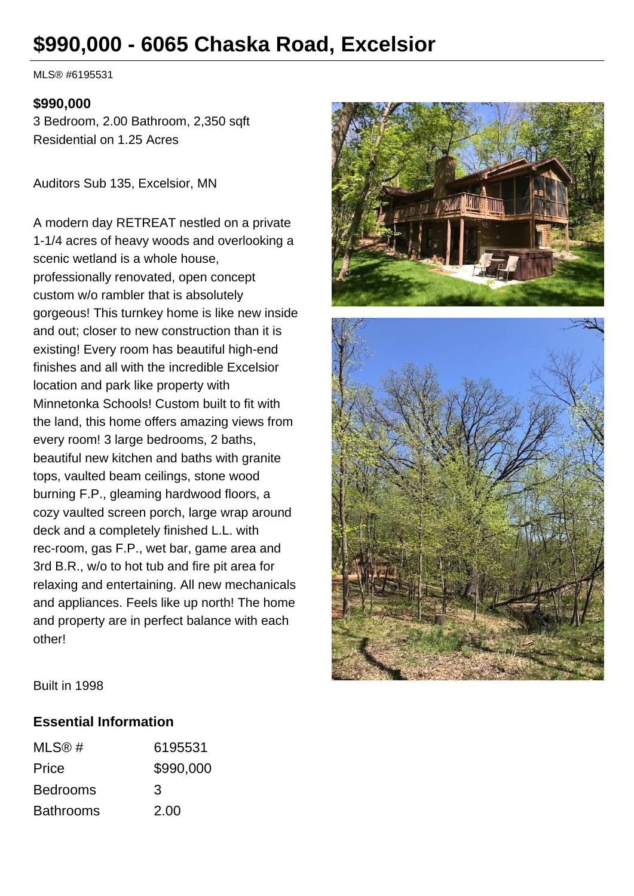# **\$990,000 - 6065 Chaska Road, Excelsior**

MLS® #6195531

#### **\$990,000**

3 Bedroom, 2.00 Bathroom, 2,350 sqft Residential on 1.25 Acres

Auditors Sub 135, Excelsior, MN

A modern day RETREAT nestled on a private 1-1/4 acres of heavy woods and overlooking a scenic wetland is a whole house, professionally renovated, open concept custom w/o rambler that is absolutely gorgeous! This turnkey home is like new inside and out; closer to new construction than it is existing! Every room has beautiful high-end finishes and all with the incredible Excelsior location and park like property with Minnetonka Schools! Custom built to fit with the land, this home offers amazing views from every room! 3 large bedrooms, 2 baths, beautiful new kitchen and baths with granite tops, vaulted beam ceilings, stone wood burning F.P., gleaming hardwood floors, a cozy vaulted screen porch, large wrap around deck and a completely finished L.L. with rec-room, gas F.P., wet bar, game area and 3rd B.R., w/o to hot tub and fire pit area for relaxing and entertaining. All new mechanicals and appliances. Feels like up north! The home and property are in perfect balance with each other!



Built in 1998

#### **Essential Information**

| MLS@#            | 6195531   |
|------------------|-----------|
| Price            | \$990,000 |
| <b>Bedrooms</b>  | 3         |
| <b>Bathrooms</b> | 2.00      |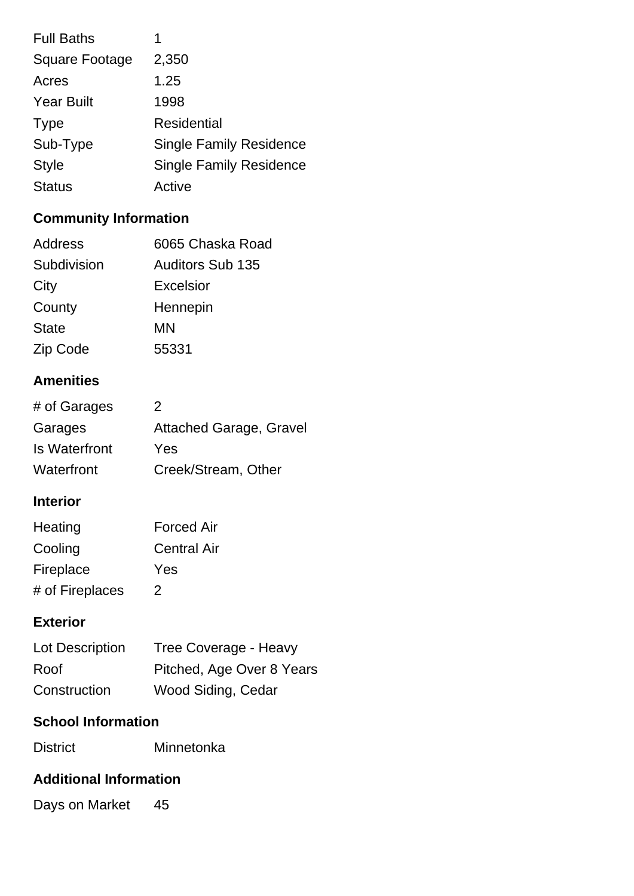| <b>Full Baths</b>     | 1                              |
|-----------------------|--------------------------------|
| <b>Square Footage</b> | 2,350                          |
| Acres                 | 1.25                           |
| <b>Year Built</b>     | 1998                           |
| <b>Type</b>           | <b>Residential</b>             |
| Sub-Type              | <b>Single Family Residence</b> |
| <b>Style</b>          | <b>Single Family Residence</b> |
| <b>Status</b>         | Active                         |

## **Community Information**

| Address      | 6065 Chaska Road        |
|--------------|-------------------------|
| Subdivision  | <b>Auditors Sub 135</b> |
| City         | Excelsior               |
| County       | Hennepin                |
| <b>State</b> | MN                      |
| Zip Code     | 55331                   |

#### **Amenities**

| # of Garages  | 2                              |
|---------------|--------------------------------|
| Garages       | <b>Attached Garage, Gravel</b> |
| Is Waterfront | Yes                            |
| Waterfront    | Creek/Stream, Other            |

#### **Interior**

| Heating         | <b>Forced Air</b>  |
|-----------------|--------------------|
| Cooling         | <b>Central Air</b> |
| Fireplace       | Yes                |
| # of Fireplaces | 2                  |

#### **Exterior**

| Lot Description | Tree Coverage - Heavy     |
|-----------------|---------------------------|
| Roof            | Pitched, Age Over 8 Years |
| Construction    | Wood Siding, Cedar        |

## **School Information**

| <b>District</b> | Minnetonka |
|-----------------|------------|
|                 |            |

## **Additional Information**

Days on Market 45